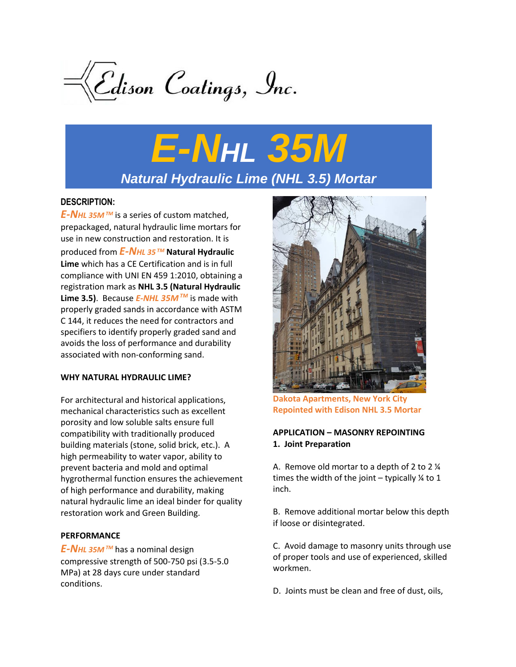

# *E-NHL 35M Natural Hydraulic Lime (NHL 3.5) Mortar*

# **DESCRIPTION:**

*E-NHL 35M TM* is a series of custom matched, prepackaged, natural hydraulic lime mortars for use in new construction and restoration. It is produced from *E-NHL 35 TM* **Natural Hydraulic Lime** which has a CE Certification and is in full compliance with UNI EN 459 1:2010, obtaining a registration mark as **NHL 3.5 (Natural Hydraulic Lime 3.5)**. Because *E-NHL 35MTM* is made with properly graded sands in accordance with ASTM C 144, it reduces the need for contractors and specifiers to identify properly graded sand and avoids the loss of performance and durability associated with non-conforming sand.

### **WHY NATURAL HYDRAULIC LIME?**

For architectural and historical applications, mechanical characteristics such as excellent porosity and low soluble salts ensure full compatibility with traditionally produced building materials (stone, solid brick, etc.). A high permeability to water vapor, ability to prevent bacteria and mold and optimal hygrothermal function ensures the achievement of high performance and durability, making natural hydraulic lime an ideal binder for quality restoration work and Green Building.

### **PERFORMANCE**

*E-NHL 35M TM* has a nominal design compressive strength of 500-750 psi (3.5-5.0 MPa) at 28 days cure under standard conditions.



**Dakota Apartments, New York City Repointed with Edison NHL 3.5 Mortar**

# **APPLICATION – MASONRY REPOINTING 1. Joint Preparation**

A. Remove old mortar to a depth of 2 to 2 ¼ times the width of the joint – typically  $\frac{1}{4}$  to 1 inch.

B. Remove additional mortar below this depth if loose or disintegrated.

C. Avoid damage to masonry units through use of proper tools and use of experienced, skilled workmen.

D. Joints must be clean and free of dust, oils,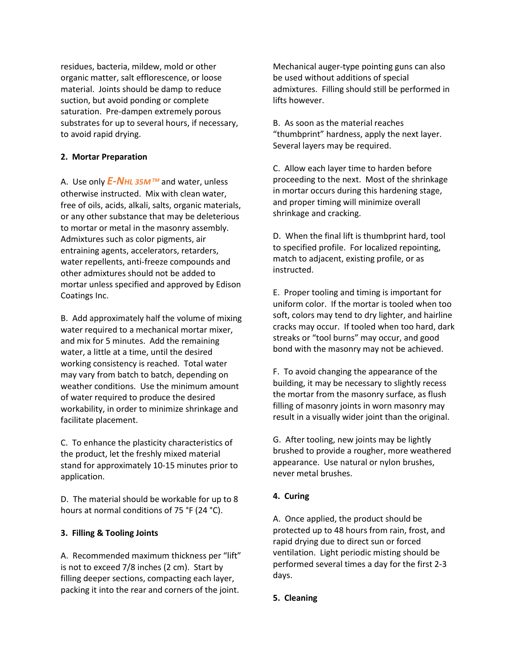residues, bacteria, mildew, mold or other organic matter, salt efflorescence, or loose material. Joints should be damp to reduce suction, but avoid ponding or complete saturation. Pre-dampen extremely porous substrates for up to several hours, if necessary, to avoid rapid drying.

## **2. Mortar Preparation**

A. Use only *E-NHL 35M TM* and water, unless otherwise instructed. Mix with clean water, free of oils, acids, alkali, salts, organic materials, or any other substance that may be deleterious to mortar or metal in the masonry assembly. Admixtures such as color pigments, air entraining agents, accelerators, retarders, water repellents, anti-freeze compounds and other admixtures should not be added to mortar unless specified and approved by Edison Coatings Inc.

B. Add approximately half the volume of mixing water required to a mechanical mortar mixer, and mix for 5 minutes. Add the remaining water, a little at a time, until the desired working consistency is reached. Total water may vary from batch to batch, depending on weather conditions. Use the minimum amount of water required to produce the desired workability, in order to minimize shrinkage and facilitate placement.

C. To enhance the plasticity characteristics of the product, let the freshly mixed material stand for approximately 10-15 minutes prior to application.

D. The material should be workable for up to 8 hours at normal conditions of 75 °F (24 °C).

# **3. Filling & Tooling Joints**

A. Recommended maximum thickness per "lift" is not to exceed 7/8 inches (2 cm). Start by filling deeper sections, compacting each layer, packing it into the rear and corners of the joint.

Mechanical auger-type pointing guns can also be used without additions of special admixtures. Filling should still be performed in lifts however.

B. As soon as the material reaches "thumbprint" hardness, apply the next layer. Several layers may be required.

C. Allow each layer time to harden before proceeding to the next. Most of the shrinkage in mortar occurs during this hardening stage, and proper timing will minimize overall shrinkage and cracking.

D. When the final lift is thumbprint hard, tool to specified profile. For localized repointing, match to adjacent, existing profile, or as instructed.

E. Proper tooling and timing is important for uniform color. If the mortar is tooled when too soft, colors may tend to dry lighter, and hairline cracks may occur. If tooled when too hard, dark streaks or "tool burns" may occur, and good bond with the masonry may not be achieved.

F. To avoid changing the appearance of the building, it may be necessary to slightly recess the mortar from the masonry surface, as flush filling of masonry joints in worn masonry may result in a visually wider joint than the original.

G. After tooling, new joints may be lightly brushed to provide a rougher, more weathered appearance. Use natural or nylon brushes, never metal brushes.

# **4. Curing**

A. Once applied, the product should be protected up to 48 hours from rain, frost, and rapid drying due to direct sun or forced ventilation. Light periodic misting should be performed several times a day for the first 2-3 days.

### **5. Cleaning**